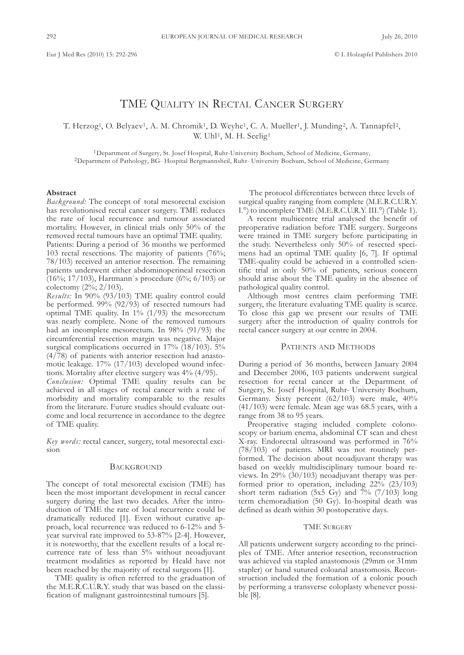# TME QUALITY IN RECTAL CANCER SURGERY

T. Herzog<sup>1</sup>, O. Belyaev<sup>1</sup>, A. M. Chromik<sup>1</sup>, D. Weyhe<sup>1</sup>, C. A. Mueller<sup>1</sup>, J. Munding<sup>2</sup>, A. Tannapfel<sup>2</sup>, W. Uhl<sup>1</sup>, M. H. Seelig<sup>1</sup>

<sup>1</sup>Department of Surgery, St. Josef Hospital, Ruhr-University Bochum, School of Medicine, Germany, <sup>2</sup>Department of Pathology, BG- Hospital Bergmannsheil, Ruhr- University Bochum, School of Medicine, Germany

## **Abstract**

*Background:* The concept of total mesorectal excision has revolutionised rectal cancer surgery. TME reduces the rate of local recurrence and tumour associated mortality. However, in clinical trials only 50% of the removed rectal tumours have an optimal TME quality.

Patients: During a period of 36 months we performed 103 rectal resections. The majority of patients (76%; 78/103) received an anterior resection. The remaining patients underwent either abdominoperineal resection (16%; 17/103), Hartmann`s procedure (6%; 6/103) or colectomy (2%; 2/103).

*Results:* In 90% (93/103) TME quality control could be performed. 99% (92/93) of resected tumours had optimal TME quality. In  $1\%$  (1/93) the mesorectum was nearly complete. None of the removed tumours had an incomplete mesorectum. In 98% (91/93) the circumferential resection margin was negative. Major surgical complications occurred in 17% (18/103). 5% (4/78) of patients with anterior resection had anastomotic leakage. 17% (17/103) developed wound infections. Mortality after elective surgery was 4% (4/95).

*Conclusion:* Optimal TME quality results can be achieved in all stages of rectal cancer with a rate of morbidity and mortality comparable to the results from the literature. Future studies should evaluate outcome and local recurrence in accordance to the degree of TME quality.

*Key words:* rectal cancer, surgery, total mesorectal excision

## **BACKGROUND**

The concept of total mesorectal excision (TME) has been the most important development in rectal cancer surgery during the last two decades. After the introduction of TME the rate of local recurrence could be dramatically reduced [1]. Even without curative approach, local recurrence was reduced to 6-12% and 5 year survival rate improved to 53-87% [2-4]. However, it is noteworthy, that the excellent results of a local recurrence rate of less than 5% without neoadjuvant treatment modalities as reported by Heald have not been reached by the majority of rectal surgeons [1].

TME quality is often referred to the graduation of the M.E.R.C.U.R.Y. study that was based on the classification of malignant gastrointestinal tumours [5].

The protocol differentiates between three levels of surgical quality ranging from complete (M.E.R.C.U.R.Y. I.<sup>o</sup>) to incomplete TME (M.E.R.C.U.R.Y. III.<sup>o</sup>) (Table 1).

A recent multicentre trial analysed the benefit of preoperative radiation before TME surgery. Surgeons were trained in TME surgery before participating in the study. Nevertheless only 50% of resected specimens had an optimal TME quality [6, 7]. If optimal TME-quality could be achieved in a controlled scientific trial in only 50% of patients, serious concern should arise about the TME quality in the absence of pathological quality control.

although most centres claim performing TME surgery, the literature evaluating TME quality is scarce. To close this gap we present our results of TME surgery after the introduction of quality controls for rectal cancer surgery at our centre in 2004.

## PATIENTS AND METHODS

During a period of 36 months, between January 2004 and December 2006, 103 patients underwent surgical resection for rectal cancer at the Department of Surgery, St. Josef Hospital, Ruhr- University Bochum, Germany. Sixty percent  $(62/103)$  were male,  $40\%$ (41/103) were female. Mean age was 68.5 years, with a range from 38 to 95 years.

Preoperative staging included complete colonoscopy or barium enema, abdominal CT scan and chest X-ray. Endorectal ultrasound was performed in 76% (78/103) of patients. MRI was not routinely performed. The decision about neoadjuvant therapy was based on weekly multidisciplinary tumour board reviews. In 29% (30/103) neoadjuvant therapy was performed prior to operation, including 22% (23/103) short term radiation (5x5 Gy) and  $\bar{7}$ % (7/103) long term chemoradiation (50 Gy). In-hospital death was defined as death within 30 postoperative days.

#### **TME SURGERY**

all patients underwent surgery according to the principles of TME. after anterior resection, reconstruction was achieved via stapled anastomosis (29mm or 31mm stapler) or hand sutured coloanal anastomosis. Reconstruction included the formation of a colonic pouch by performing a transverse coloplasty whenever possible [8].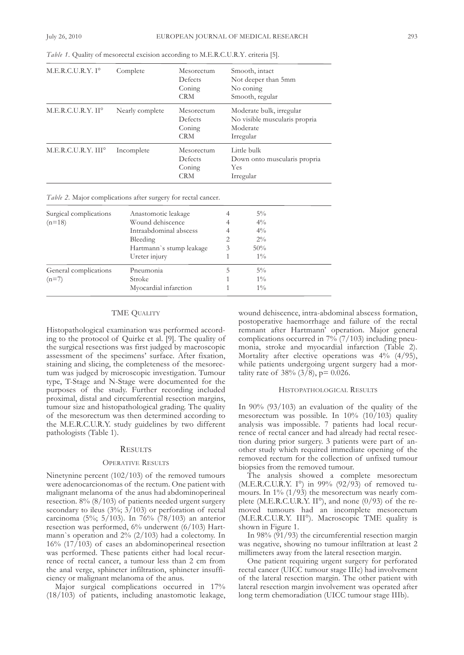| M.E.R.C.U.R.Y. I <sup>o</sup>  | Complete        | Mesorectum<br>Defects<br>Coning<br><b>CRM</b> | Smooth, intact<br>Not deeper than 5mm<br>No coning<br>Smooth, regular              |
|--------------------------------|-----------------|-----------------------------------------------|------------------------------------------------------------------------------------|
| M.E.R.C.U.R.Y. II <sup>o</sup> | Nearly complete | Mesorectum<br>Defects<br>Coning<br><b>CRM</b> | Moderate bulk, irregular<br>No visible muscularis propria<br>Moderate<br>Irregular |
| M.E.R.C.U.R.Y. III°            | Incomplete      | Mesorectum<br>Defects<br>Coning<br><b>CRM</b> | Little bulk<br>Down onto muscularis propria<br>Yes<br>Irregular                    |

*Table 1.* Quality of mesorectal excision according to M.E.R.C.U.R.Y. criteria [5].

*Table 2.* Major complications after surgery for rectal cancer.

| Surgical complications<br>$(n=18)$ | Anastomotic leakage<br>Wound dehiscence<br>Intraabdominal abscess<br>Bleeding<br>Hartmann's stump leakage<br>Ureter injury | 2<br>3 | $5\%$<br>$4\%$<br>$4\%$<br>$2\%$<br>50%<br>$1\%$ |  |
|------------------------------------|----------------------------------------------------------------------------------------------------------------------------|--------|--------------------------------------------------|--|
| General complications<br>$(n=7)$   | Pneumonia<br>Stroke<br>Myocardial infarction                                                                               |        | $5\%$<br>$1\%$<br>$1\%$                          |  |

## TME QUALITY

Histopathological examination was performed according to the protocol of Quirke et al. [9]. The quality of the surgical resections was first judged by macroscopic assessment of the specimens' surface. after fixation, staining and slicing, the completeness of the mesorectum was judged by microscopic investigation. Tumour type, T-Stage and N-Stage were documented for the purposes of the study. Further recording included proximal, distal and circumferential resection margins, tumour size and histopathological grading. The quality of the mesorectum was then determined according to the M.E.R.C.U.R.Y. study guidelines by two different pathologists (Table 1).

#### **RESULTS**

#### OPERaTIvE RESulTS

Ninetynine percent  $(102/103)$  of the removed tumours were adenocarcionomas of the rectum. One patient with malignant melanoma of the anus had abdominoperineal resection. 8% (8/103) of patients needed urgent surgery secondary to ileus (3%; 3/103) or perforation of rectal carcinoma (5%; 5/103). In 76% (78/103) an anterior resection was performed, 6% underwent (6/103) Hartmann`s operation and  $2\%$  (2/103) had a colectomy. In 16% (17/103) of cases an abdominoperineal resection was performed. These patients either had local recurrence of rectal cancer, a tumour less than 2 cm from the anal verge, sphincter infiltration, sphincter insufficiency or malignant melanoma of the anus.

Major surgical complications occurred in 17% (18/103) of patients, including anastomotic leakage, wound dehiscence, intra-abdominal abscess formation, postoperative haemorrhage and failure of the rectal remnant after Hartmann' operation. Major general complications occurred in  $7\%$  (7/103) including pneumonia, stroke and myocardial infarction (Table 2). Mortality after elective operations was  $4\%$  (4/95), while patients undergoing urgent surgery had a mortality rate of  $38\%$  (3/8), p= 0.026.

#### HISTOPaTHOlOgIcal RESulTS

In 90% (93/103) an evaluation of the quality of the mesorectum was possible. In 10% (10/103) quality analysis was impossible. 7 patients had local recurrence of rectal cancer and had already had rectal resection during prior surgery. 3 patients were part of another study which required immediate opening of the removed rectum for the collection of unfixed tumour biopsies from the removed tumour.

The analysis showed a complete mesorectum (M.E.R.c.u.R.y. I°) in 99% (92/93) of removed tumours. In  $1\%$  (1/93) the mesorectum was nearly complete (M.E.R.C.U.R.Y. II°), and none  $(0/93)$  of the removed tumours had an incomplete mesorectum (M.E.R.C.U.R.Y. III°). Macroscopic TME quality is shown in Figure 1.

In 98% (91/93) the circumferential resection margin was negative, showing no tumour infiltration at least 2 millimeters away from the lateral resection margin.

One patient requiring urgent surgery for perforated rectal cancer (uIcc tumour stage IIIc) had involvement of the lateral resection margin. The other patient with lateral resection margin involvement was operated after long term chemoradiation (UICC tumour stage IIIb).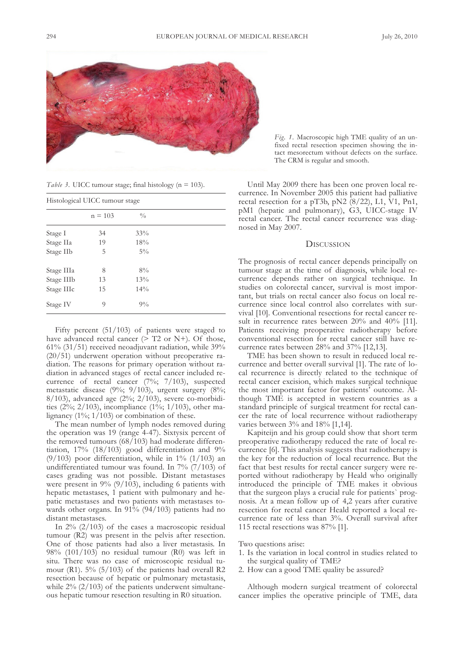

*Table* 3. UICC tumour stage; final histology (n = 103).

| Histological UICC tumour stage |           |               |  |  |  |
|--------------------------------|-----------|---------------|--|--|--|
|                                | $n = 103$ | $\frac{0}{0}$ |  |  |  |
| Stage I                        | 34        | 33%           |  |  |  |
| Stage IIa                      | 19        | 18%           |  |  |  |
| Stage IIb                      | 5         | $5\%$         |  |  |  |
| Stage IIIa                     | 8         | 8%            |  |  |  |
| Stage IIIb                     | 13        | 13%           |  |  |  |
| Stage IIIc                     | 15        | $14\%$        |  |  |  |
| Stage IV                       | 9         | $9\%$         |  |  |  |

Fifty percent (51/103) of patients were staged to have advanced rectal cancer  $($ > T2 or N+). Of those, 61% (31/51) received neoadjuvant radiation, while 39% (20/51) underwent operation without preoperative radiation. The reasons for primary operation without radiation in advanced stages of rectal cancer included recurrence of rectal cancer (7%; 7/103), suspected metastatic disease (9%; 9/103), urgent surgery (8%; 8/103), advanced age (2%; 2/103), severe co-morbidities (2%; 2/103), incompliance (1%; 1/103), other malignancy  $(1\%; 1/103)$  or combination of these.

The mean number of lymph nodes removed during the operation was 19 (range 4-47). Sixtysix percent of the removed tumours (68/103) had moderate differentiation, 17% (18/103) good differentiation and 9% (9/103) poor differentiation, while in  $1\%$  (1/103) an undifferentiated tumour was found. In  $7\%$  (7/103) of cases grading was not possible. Distant metastases were present in  $9\%$  (9/103), including 6 patients with hepatic metastases, 1 patient with pulmonary and hepatic metastases and two patients with metastases towards other organs. In 91% (94/103) patients had no distant metastases.

In 2% (2/103) of the cases a macroscopic residual tumour (R2) was present in the pelvis after resection. One of those patients had also a liver metastasis. In 98% (101/103) no residual tumour (R0) was left in situ. There was no case of microscopic residual tumour (R1).  $5\%$  (5/103) of the patients had overall R2 resection because of hepatic or pulmonary metastasis, while  $2\%$  (2/103) of the patients underwent simultaneous hepatic tumour resection resulting in R0 situation.

*Fig. 1.* Macroscopic high TME quality of an unfixed rectal resection specimen showing the intact mesorectum without defects on the surface. The cRM is regular and smooth.

Until May 2009 there has been one proven local recurrence. In November 2005 this patient had palliative rectal resection for a pT3b, pN2 (8/22), L1, V1, Pn1, pM1 (hepatic and pulmonary), G3, UICC-stage IV rectal cancer. The rectal cancer recurrence was diagnosed in May 2007.

## **DISCUSSION**

The prognosis of rectal cancer depends principally on tumour stage at the time of diagnosis, while local recurrence depends rather on surgical technique. In studies on colorectal cancer, survival is most important, but trials on rectal cancer also focus on local recurrence since local control also correlates with survival [10]. conventional resections for rectal cancer result in recurrence rates between 20% and 40% [11]. Patients receiving preoperative radiotherapy before conventional resection for rectal cancer still have recurrence rates between 28% and 37% [12,13].

TME has been shown to result in reduced local recurrence and better overall survival [1]. The rate of local recurrence is directly related to the technique of rectal cancer excision, which makes surgical technique the most important factor for patients' outcome. although TME is accepted in western countries as a standard principle of surgical treatment for rectal cancer the rate of local recurrence without radiotherapy varies between 3% and 18% [1,14].

kapiteijn and his group could show that short term preoperative radiotherapy reduced the rate of local recurrence [6]. This analysis suggests that radiotherapy is the key for the reduction of local recurrence. But the fact that best results for rectal cancer surgery were reported without radiotherapy by Heald who originally introduced the principle of TME makes it obvious that the surgeon plays a crucial rule for patients` prognosis. at a mean follow up of 4,2 years after curative resection for rectal cancer Heald reported a local recurrence rate of less than 3%. Overall survival after 115 rectal resections was 87% [1].

Two questions arise:

- 1. Is the variation in local control in studies related to the surgical quality of TME?
- 2. How can a good TME quality be assured?

although modern surgical treatment of colorectal cancer implies the operative principle of TME, data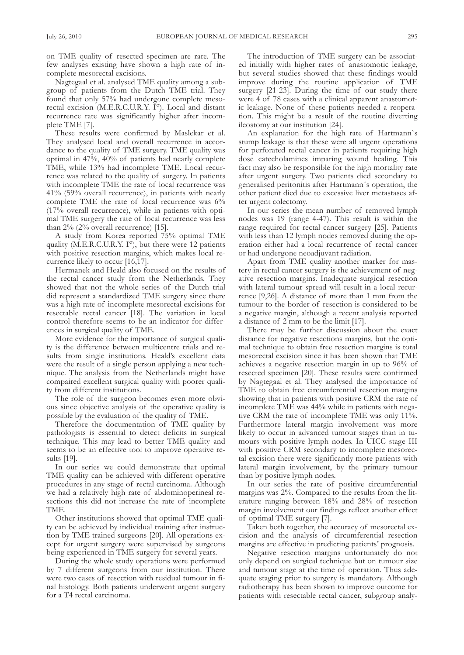on TME quality of resected specimen are rare. The few analyses existing have shown a high rate of incomplete mesorectal excisions.

Nagtegaal et al. analysed TME quality among a subgroup of patients from the Dutch TME trial. They found that only 57% had undergone complete mesorectal excision (M.E.R.C.U.R.Y. I°). Local and distant recurrence rate was significantly higher after incomplete TME [7].

These results were confirmed by Maslekar et al. They analysed local and overall recurrence in accordance to the quality of TME surgery. TME quality was optimal in 47%, 40% of patients had nearly complete TME, while 13% had incomplete TME. local recurrence was related to the quality of surgery. In patients with incomplete TME the rate of local recurrence was 41% (59% overall recurrence), in patients with nearly complete TME the rate of local recurrence was 6% (17% overall recurrence), while in patients with optimal TME surgery the rate of local recurrence was less than 2% (2% overall recurrence) [15].

a study from korea reported 75% optimal TME quality (M.E.R.C.U.R.Y. I°), but there were 12 patients with positive resection margins, which makes local recurrence likely to occur [16,17].

Hermanek and Heald also focused on the results of the rectal cancer study from the Netherlands. They showed that not the whole series of the Dutch trial did represent a standardized TME surgery since there was a high rate of incomplete mesorectal excisions for resectable rectal cancer [18]. The variation in local control therefore seems to be an indicator for differences in surgical quality of TME.

More evidence for the importance of surgical quality is the difference between multicentre trials and results from single institutions. Heald's excellent data were the result of a single person applying a new technique. The analysis from the Netherlands might have compaired excellent surgical quality with poorer quality from different institutions.

The role of the surgeon becomes even more obvious since objective analysis of the operative quality is possible by the evaluation of the quality of TME.

Therefore the documentation of TME quality by pathologists is essential to detect deficits in surgical technique. This may lead to better TME quality and seems to be an effective tool to improve operative results [19].

In our series we could demonstrate that optimal TME quality can be achieved with different operative procedures in any stage of rectal carcinoma. although we had a relatively high rate of abdominoperineal resections this did not increase the rate of incomplete TME.

Other institutions showed that optimal TME quality can be achieved by individual training after instruction by TME trained surgeons [20]. All operations except for urgent surgery were supervised by surgeons being experienced in TME surgery for several years.

During the whole study operations were performed by 7 different surgeons from our institution. There were two cases of resection with residual tumour in final histology. Both patients underwent urgent surgery for a T4 rectal carcinoma.

The introduction of TME surgery can be associated initially with higher rates of anastomotic leakage, but several studies showed that these findings would improve during the routine application of TME surgery [21-23]. During the time of our study there were 4 of 78 cases with a clinical apparent anastomotic leakage. None of these patients needed a reoperation. This might be a result of the routine diverting ileostomy at our institution [24].

An explanation for the high rate of Hartmann's stump leakage is that these were all urgent operations for perforated rectal cancer in patients requiring high dose catecholamines imparing wound healing. This fact may also be responsible for the high mortality rate after urgent surgery. Two patients died secondary to generalised peritonitis after Hartmann´s operation, the other patient died due to excessive liver metastases after urgent colectomy.

In our series the mean number of removed lymph nodes was 19 (range 4-47). This result is within the range required for rectal cancer surgery [25]. Patients with less than 12 lymph nodes removed during the operation either had a local recurrence of rectal cancer or had undergone neoadjuvant radiation.

Apart from TME quality another marker for mastery in rectal cancer surgery is the achievement of negative resection margins. Inadequate surgical resection with lateral tumour spread will result in a local recurrence [9,26]. a distance of more than 1 mm from the tumour to the border of resection is considered to be a negative margin, although a recent analysis reported a distance of 2 mm to be the limit [17].

There may be further discussion about the exact distance for negative resections margins, but the optimal technique to obtain free resection margins is total mesorectal excision since it has been shown that TME achieves a negative resection margin in up to 96% of resected specimen [20]. These results were confirmed by nagtegaal et al. They analysed the importance of TME to obtain free circumferential resection margins showing that in patients with positive cRM the rate of incomplete TME was 44% while in patients with negative cRM the rate of incomplete TME was only 11%. Furthermore lateral margin involvement was more likely to occur in advanced tumour stages than in tumours with positive lymph nodes. In UICC stage III with positive cRM secondary to incomplete mesorectal excision there were significantly more patients with lateral margin involvement, by the primary tumour than by positive lymph nodes.

In our series the rate of positive circumferential margins was 2%. Compared to the results from the literature ranging between 18% and 28% of resection margin involvement our findings reflect another effect of optimal TME surgery [7].

Taken both together, the accuracy of mesorectal excision and the analysis of circumferential resection margins are effective in predicting patients' prognosis.

Negative resection margins unfortunately do not only depend on surgical technique but on tumour size and tumour stage at the time of operation. Thus adequate staging prior to surgery is mandatory. Although radiotherapy has been shown to improve outcome for patients with resectable rectal cancer, subgroup analy